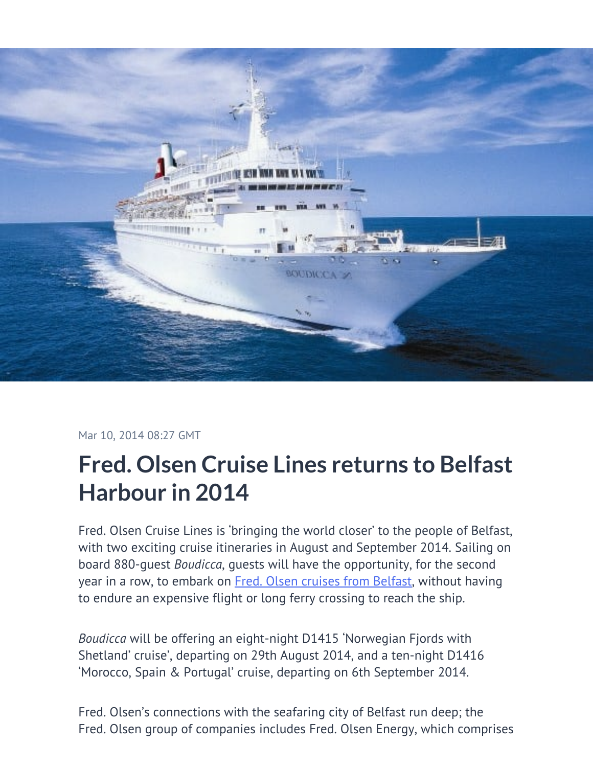

#### Mar 10, 2014 08:27 GMT

# **Fred. Olsen Cruise Lines returns to Belfast Harbour in 2014**

Fred. Olsen Cruise Lines is 'bringing the world closer' to the people of Belfast, with two exciting cruise itineraries in August and September 2014. Sailing on board 880-guest *Boudicca*, guests will have the opportunity, for the second year in a row, to embark on [Fred. Olsen cruises from Belfast](http://www.fredolsencruises.com/Find-Your-Holiday/Cruises-from-Belfast/Cruises-from-Belfast), without having to endure an expensive flight or long ferry crossing to reach the ship.

*Boudicca* will be offering an eight-night D1415 'Norwegian Fjords with Shetland' cruise', departing on 29th August 2014, and a ten-night D1416 'Morocco, Spain & Portugal' cruise, departing on 6th September 2014.

Fred. Olsen's connections with the seafaring city of Belfast run deep; the Fred. Olsen group of companies includes Fred. Olsen Energy, which comprises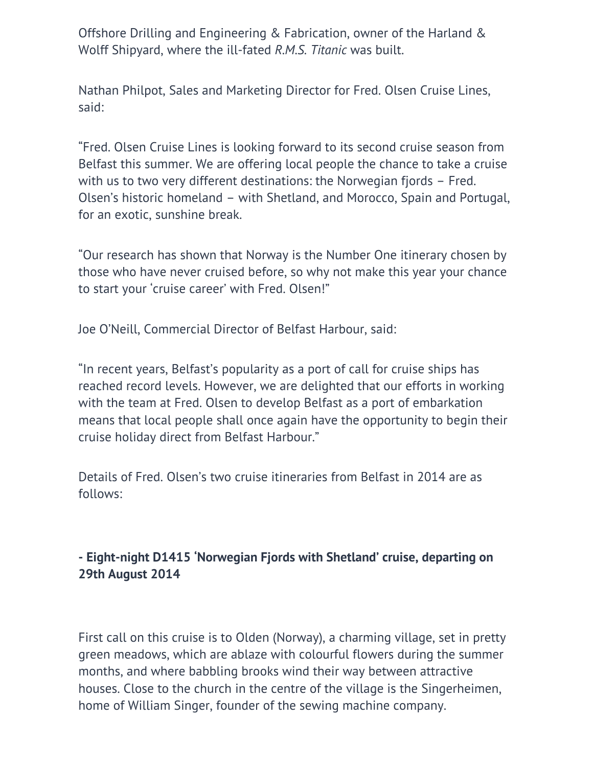Offshore Drilling and Engineering & Fabrication, owner of the Harland & Wolff Shipyard, where the ill-fated *R.M.S. Titanic* was built.

Nathan Philpot, Sales and Marketing Director for Fred. Olsen Cruise Lines, said:

"Fred. Olsen Cruise Lines is looking forward to its second cruise season from Belfast this summer. We are offering local people the chance to take a cruise with us to two very different destinations: the Norwegian fjords – Fred. Olsen's historic homeland – with Shetland, and Morocco, Spain and Portugal, for an exotic, sunshine break.

"Our research has shown that Norway is the Number One itinerary chosen by those who have never cruised before, so why not make this year your chance to start your 'cruise career' with Fred. Olsen!"

Joe O'Neill, Commercial Director of Belfast Harbour, said:

"In recent years, Belfast's popularity as a port of call for cruise ships has reached record levels. However, we are delighted that our efforts in working with the team at Fred. Olsen to develop Belfast as a port of embarkation means that local people shall once again have the opportunity to begin their cruise holiday direct from Belfast Harbour."

Details of Fred. Olsen's two cruise itineraries from Belfast in 2014 are as follows:

## **- Eight-night D1415 'Norwegian Fjords with Shetland' cruise, departing on 29th August 2014**

First call on this cruise is to Olden (Norway), a charming village, set in pretty green meadows, which are ablaze with colourful flowers during the summer months, and where babbling brooks wind their way between attractive houses. Close to the church in the centre of the village is the Singerheimen, home of William Singer, founder of the sewing machine company.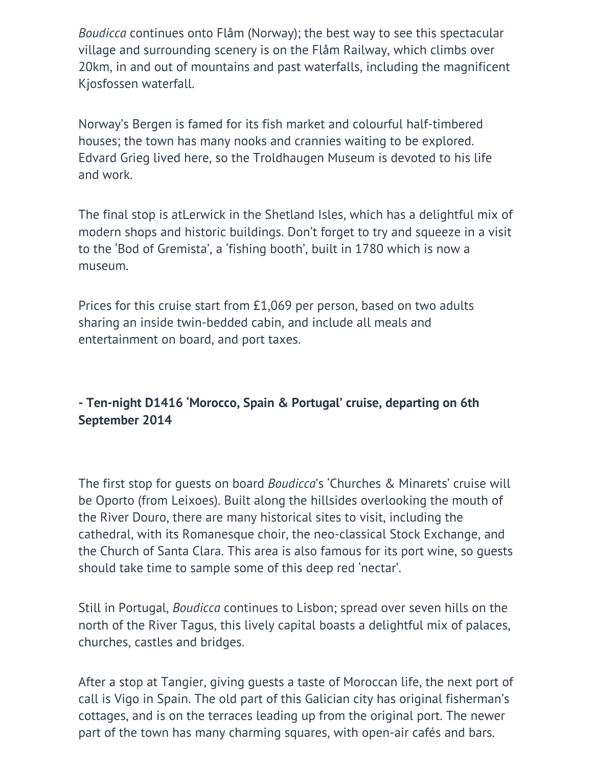*Boudicca* continues onto Flåm (Norway); the best way to see this spectacular village and surrounding scenery is on the Flåm Railway, which climbs over 20km, in and out of mountains and past waterfalls, including the magnificent Kjosfossen waterfall.

Norway's Bergen is famed for its fish market and colourful half-timbered houses; the town has many nooks and crannies waiting to be explored. Edvard Grieg lived here, so the Troldhaugen Museum is devoted to his life and work.

The final stop is atLerwick in the Shetland Isles, which has a delightful mix of modern shops and historic buildings. Don't forget to try and squeeze in a visit to the 'Bod of Gremista', a 'fishing booth', built in 1780 which is now a museum.

Prices for this cruise start from £1,069 per person, based on two adults sharing an inside twin-bedded cabin, and include all meals and entertainment on board, and port taxes.

### **- Ten-night D1416 'Morocco, Spain & Portugal' cruise, departing on 6th September 2014**

The first stop for guests on board *Boudicca*'s 'Churches & Minarets' cruise will be Oporto (from Leixoes). Built along the hillsides overlooking the mouth of the River Douro, there are many historical sites to visit, including the cathedral, with its Romanesque choir, the neo-classical Stock Exchange, and the Church of Santa Clara. This area is also famous for its port wine, so guests should take time to sample some of this deep red 'nectar'.

Still in Portugal, *Boudicca* continues to Lisbon; spread over seven hills on the north of the River Tagus, this lively capital boasts a delightful mix of palaces, churches, castles and bridges.

After a stop at Tangier, giving guests a taste of Moroccan life, the next port of call is Vigo in Spain. The old part of this Galician city has original fisherman's cottages, and is on the terraces leading up from the original port. The newer part of the town has many charming squares, with open-air cafés and bars.